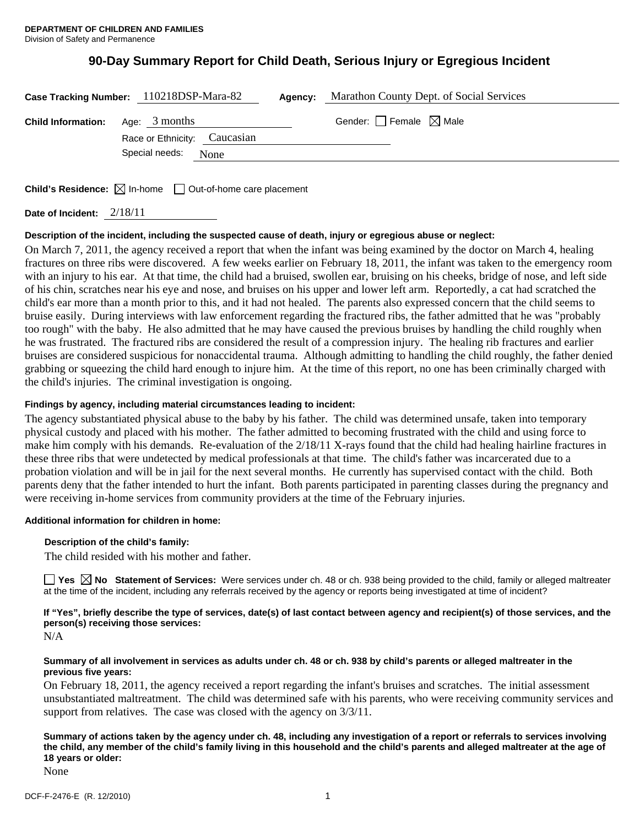# **90-Day Summary Report for Child Death, Serious Injury or Egregious Incident**

| Case Tracking Number: 110218DSP-Mara-82 |                              |  | Agency: | Marathon County Dept. of Social Services |
|-----------------------------------------|------------------------------|--|---------|------------------------------------------|
| <b>Child Information:</b>               | Age: 3 months                |  |         | Gender: $\Box$ Female $\boxtimes$ Male   |
|                                         | Race or Ethnicity: Caucasian |  |         |                                          |
|                                         | Special needs:<br>None       |  |         |                                          |
|                                         |                              |  |         |                                          |
|                                         |                              |  |         |                                          |

**Child's Residence:**  $\boxtimes$  In-home  $\Box$  Out-of-home care placement

**Date of Incident:** 2/18/11

# **Description of the incident, including the suspected cause of death, injury or egregious abuse or neglect:**

On March 7, 2011, the agency received a report that when the infant was being examined by the doctor on March 4, healing fractures on three ribs were discovered. A few weeks earlier on February 18, 2011, the infant was taken to the emergency room with an injury to his ear. At that time, the child had a bruised, swollen ear, bruising on his cheeks, bridge of nose, and left side of his chin, scratches near his eye and nose, and bruises on his upper and lower left arm. Reportedly, a cat had scratched the child's ear more than a month prior to this, and it had not healed. The parents also expressed concern that the child seems to bruise easily. During interviews with law enforcement regarding the fractured ribs, the father admitted that he was "probably too rough" with the baby. He also admitted that he may have caused the previous bruises by handling the child roughly when he was frustrated. The fractured ribs are considered the result of a compression injury. The healing rib fractures and earlier bruises are considered suspicious for nonaccidental trauma. Although admitting to handling the child roughly, the father denied grabbing or squeezing the child hard enough to injure him. At the time of this report, no one has been criminally charged with the child's injuries. The criminal investigation is ongoing.

#### **Findings by agency, including material circumstances leading to incident:**

The agency substantiated physical abuse to the baby by his father. The child was determined unsafe, taken into temporary physical custody and placed with his mother. The father admitted to becoming frustrated with the child and using force to make him comply with his demands. Re-evaluation of the 2/18/11 X-rays found that the child had healing hairline fractures in these three ribs that were undetected by medical professionals at that time. The child's father was incarcerated due to a probation violation and will be in jail for the next several months. He currently has supervised contact with the child. Both parents deny that the father intended to hurt the infant. Both parents participated in parenting classes during the pregnancy and were receiving in-home services from community providers at the time of the February injuries.

# **Additional information for children in home:**

# **Description of the child's family:**

The child resided with his mother and father.

■ Yes **No** Statement of Services: Were services under ch. 48 or ch. 938 being provided to the child, family or alleged maltreater at the time of the incident, including any referrals received by the agency or reports being investigated at time of incident?

**If "Yes", briefly describe the type of services, date(s) of last contact between agency and recipient(s) of those services, and the person(s) receiving those services:** 

N/A

#### **Summary of all involvement in services as adults under ch. 48 or ch. 938 by child's parents or alleged maltreater in the previous five years:**

On February 18, 2011, the agency received a report regarding the infant's bruises and scratches. The initial assessment unsubstantiated maltreatment. The child was determined safe with his parents, who were receiving community services and support from relatives. The case was closed with the agency on  $3/3/11$ .

**Summary of actions taken by the agency under ch. 48, including any investigation of a report or referrals to services involving the child, any member of the child's family living in this household and the child's parents and alleged maltreater at the age of 18 years or older:** 

None